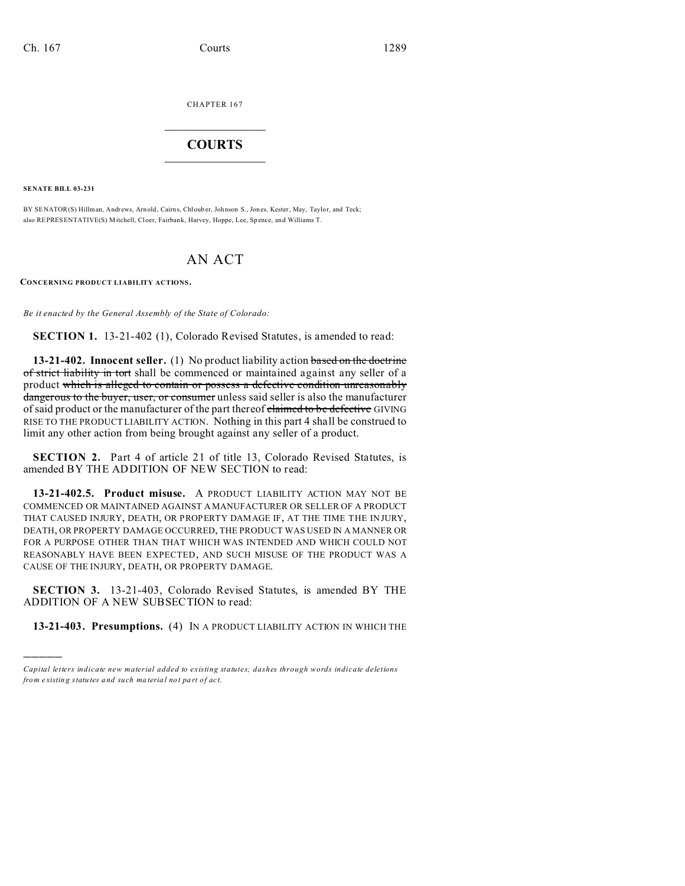CHAPTER 167  $\overline{\phantom{a}}$  , where  $\overline{\phantom{a}}$ 

## **COURTS**  $\_$

**SENATE BILL 03-231**

)))))

BY SENATOR(S) Hillman, Andrews, Arnold, Cairns, Chlouber, Johnson S., Jon es, Kester, May, Taylor, and Teck; also REPRESENTATIVE(S) Mitchell, Cloer, Fairbank, Harvey, Hoppe, Lee, Sp ence, and Williams T.

## AN ACT

**CONCERNING PRODUCT LIABILITY ACTIONS.**

*Be it enacted by the General Assembly of the State of Colorado:*

**SECTION 1.** 13-21-402 (1), Colorado Revised Statutes, is amended to read:

**13-21-402. Innocent seller.** (1) No product liability action based on the doctrine of strict liability in tort shall be commenced or maintained against any seller of a product which is alleged to contain or possess a defective condition unreasonably dangerous to the buyer, user, or consumer unless said seller is also the manufacturer of said product or the manufacturer of the part thereof claimed to be defective GIVING RISE TO THE PRODUCT LIABILITY ACTION. Nothing in this part 4 shall be construed to limit any other action from being brought against any seller of a product.

**SECTION 2.** Part 4 of article 21 of title 13, Colorado Revised Statutes, is amended BY THE ADDITION OF NEW SECTION to read:

**13-21-402.5. Product misuse.** A PRODUCT LIABILITY ACTION MAY NOT BE COMMENCED OR MAINTAINED AGAINST A MANUFACTURER OR SELLER OF A PRODUCT THAT CAUSED INJURY, DEATH, OR PROPERTY DAMAGE IF, AT THE TIME THE INJURY, DEATH, OR PROPERTY DAMAGE OCCURRED, THE PRODUCT WAS USED IN A MANNER OR FOR A PURPOSE OTHER THAN THAT WHICH WAS INTENDED AND WHICH COULD NOT REASONABLY HAVE BEEN EXPECTED, AND SUCH MISUSE OF THE PRODUCT WAS A CAUSE OF THE INJURY, DEATH, OR PROPERTY DAMAGE.

**SECTION 3.** 13-21-403, Colorado Revised Statutes, is amended BY THE ADDITION OF A NEW SUBSECTION to read:

**13-21-403. Presumptions.** (4) IN A PRODUCT LIABILITY ACTION IN WHICH THE

*Capital letters indicate new material added to existing statutes; dashes through words indicate deletions from e xistin g statu tes a nd such ma teria l no t pa rt of ac t.*